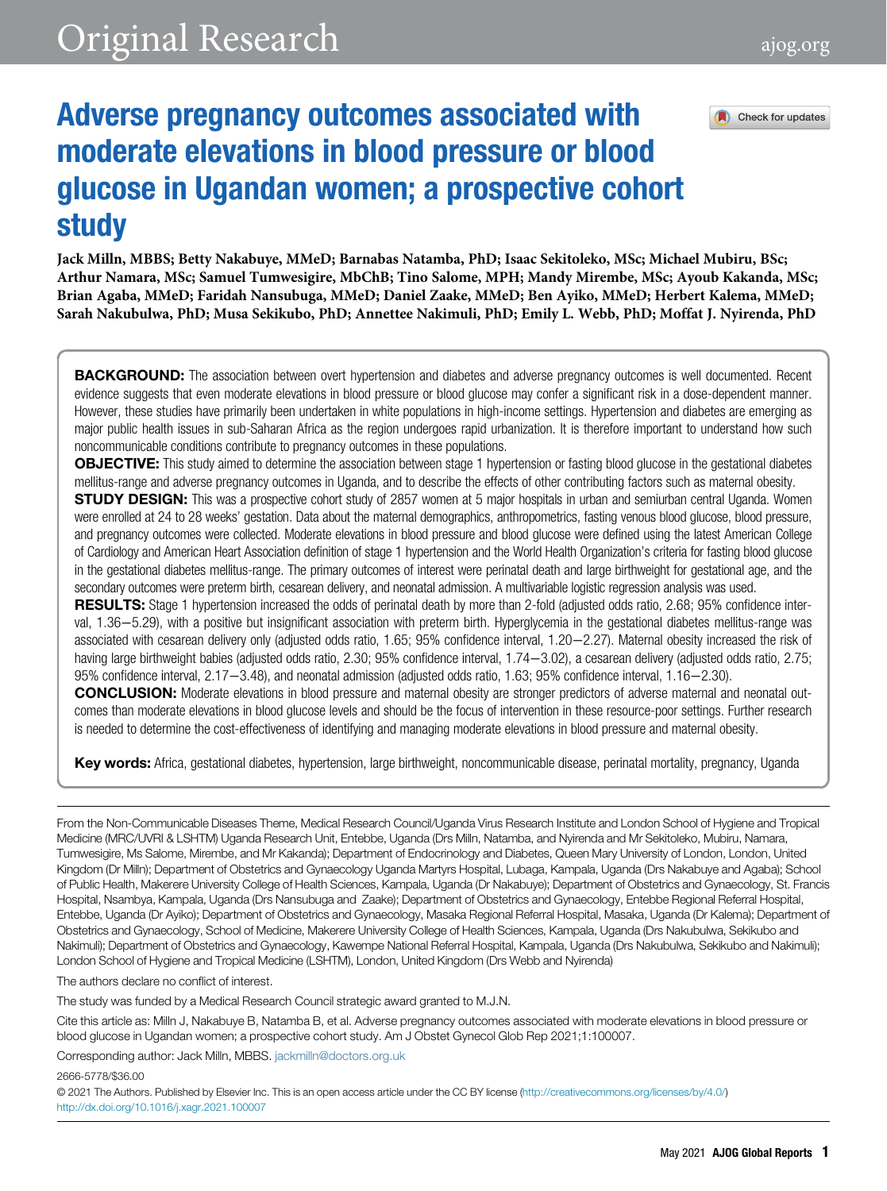Check for updates

# Adverse pregnancy outcomes associated with moderate elevations in blood pressure or blood glucose in Ugandan women; a prospective cohort study

Jack Milln, MBBS; Betty Nakabuye, MMeD; Barnabas Natamba, PhD; Isaac Sekitoleko, MSc; Michael Mubiru, BSc; Arthur Namara, MSc; Samuel Tumwesigire, MbChB; Tino Salome, MPH; Mandy Mirembe, MSc; Ayoub Kakanda, MSc; Brian Agaba, MMeD; Faridah Nansubuga, MMeD; Daniel Zaake, MMeD; Ben Ayiko, MMeD; Herbert Kalema, MMeD; Sarah Nakubulwa, PhD; Musa Sekikubo, PhD; Annettee Nakimuli, PhD; Emily L. Webb, PhD; Moffat J. Nyirenda, PhD

**BACKGROUND:** The association between overt hypertension and diabetes and adverse pregnancy outcomes is well documented. Recent evidence suggests that even moderate elevations in blood pressure or blood glucose may confer a significant risk in a dose-dependent manner. However, these studies have primarily been undertaken in white populations in high-income settings. Hypertension and diabetes are emerging as major public health issues in sub-Saharan Africa as the region undergoes rapid urbanization. It is therefore important to understand how such noncommunicable conditions contribute to pregnancy outcomes in these populations.

**OBJECTIVE:** This study aimed to determine the association between stage 1 hypertension or fasting blood glucose in the gestational diabetes mellitus-range and adverse pregnancy outcomes in Uganda, and to describe the effects of other contributing factors such as maternal obesity. **STUDY DESIGN:** This was a prospective cohort study of 2857 women at 5 major hospitals in urban and semiurban central Uganda. Women were enrolled at 24 to 28 weeks' gestation. Data about the maternal demographics, anthropometrics, fasting venous blood glucose, blood pressure, and pregnancy outcomes were collected. Moderate elevations in blood pressure and blood glucose were defined using the latest American College of Cardiology and American Heart Association definition of stage 1 hypertension and the World Health Organization's criteria for fasting blood glucose in the gestational diabetes mellitus-range. The primary outcomes of interest were perinatal death and large birthweight for gestational age, and the secondary outcomes were preterm birth, cesarean delivery, and neonatal admission. A multivariable logistic regression analysis was used.

**RESULTS:** Stage 1 hypertension increased the odds of perinatal death by more than 2-fold (adjusted odds ratio, 2.68; 95% confidence interval, 1.36−5.29), with a positive but insignificant association with preterm birth. Hyperglycemia in the gestational diabetes mellitus-range was associated with cesarean delivery only (adjusted odds ratio, 1.65; 95% confidence interval, 1.20−2.27). Maternal obesity increased the risk of having large birthweight babies (adjusted odds ratio, 2.30; 95% confidence interval, 1.74−3.02), a cesarean delivery (adjusted odds ratio, 2.75; 95% confidence interval, 2.17−3.48), and neonatal admission (adjusted odds ratio, 1.63; 95% confidence interval, 1.16−2.30).

CONCLUSION: Moderate elevations in blood pressure and maternal obesity are stronger predictors of adverse maternal and neonatal outcomes than moderate elevations in blood glucose levels and should be the focus of intervention in these resource-poor settings. Further research is needed to determine the cost-effectiveness of identifying and managing moderate elevations in blood pressure and maternal obesity.

Key words: Africa, gestational diabetes, hypertension, large birthweight, noncommunicable disease, perinatal mortality, pregnancy, Uganda

From the Non-Communicable Diseases Theme, Medical Research Council/Uganda Virus Research Institute and London School of Hygiene and Tropical Medicine (MRC/UVRI & LSHTM) Uganda Research Unit, Entebbe, Uganda (Drs Milln, Natamba, and Nyirenda and Mr Sekitoleko, Mubiru, Namara, Tumwesigire, Ms Salome, Mirembe, and Mr Kakanda); Department of Endocrinology and Diabetes, Queen Mary University of London, London, United Kingdom (Dr Milln); Department of Obstetrics and Gynaecology Uganda Martyrs Hospital, Lubaga, Kampala, Uganda (Drs Nakabuye and Agaba); School of Public Health, Makerere University College of Health Sciences, Kampala, Uganda (Dr Nakabuye); Department of Obstetrics and Gynaecology, St. Francis Hospital, Nsambya, Kampala, Uganda (Drs Nansubuga and Zaake); Department of Obstetrics and Gynaecology, Entebbe Regional Referral Hospital, Entebbe, Uganda (Dr Ayiko); Department of Obstetrics and Gynaecology, Masaka Regional Referral Hospital, Masaka, Uganda (Dr Kalema); Department of Obstetrics and Gynaecology, School of Medicine, Makerere University College of Health Sciences, Kampala, Uganda (Drs Nakubulwa, Sekikubo and Nakimuli); Department of Obstetrics and Gynaecology, Kawempe National Referral Hospital, Kampala, Uganda (Drs Nakubulwa, Sekikubo and Nakimuli); London School of Hygiene and Tropical Medicine (LSHTM), London, United Kingdom (Drs Webb and Nyirenda)

The authors declare no conflict of interest.

The study was funded by a Medical Research Council strategic award granted to M.J.N.

Cite this article as: Milln J, Nakabuye B, Natamba B, et al. Adverse pregnancy outcomes associated with moderate elevations in blood pressure or blood glucose in Ugandan women; a prospective cohort study. Am J Obstet Gynecol Glob Rep 2021;1:100007.

Corresponding author: Jack Milln, MBBS. [jackmilln@doctors.org.uk](mailto:Corresponding author: Jack Milln, MBBS.)

2666-5778/\$36.00

© 2021 The Authors. Published by Elsevier Inc. This is an open access article under the CC BY license [\(http://creativecommons.org/licenses/by/4.0/](http://creativecommons.org/licenses/by/4.0/)) <http://dx.doi.org/10.1016/j.xagr.2021.100007>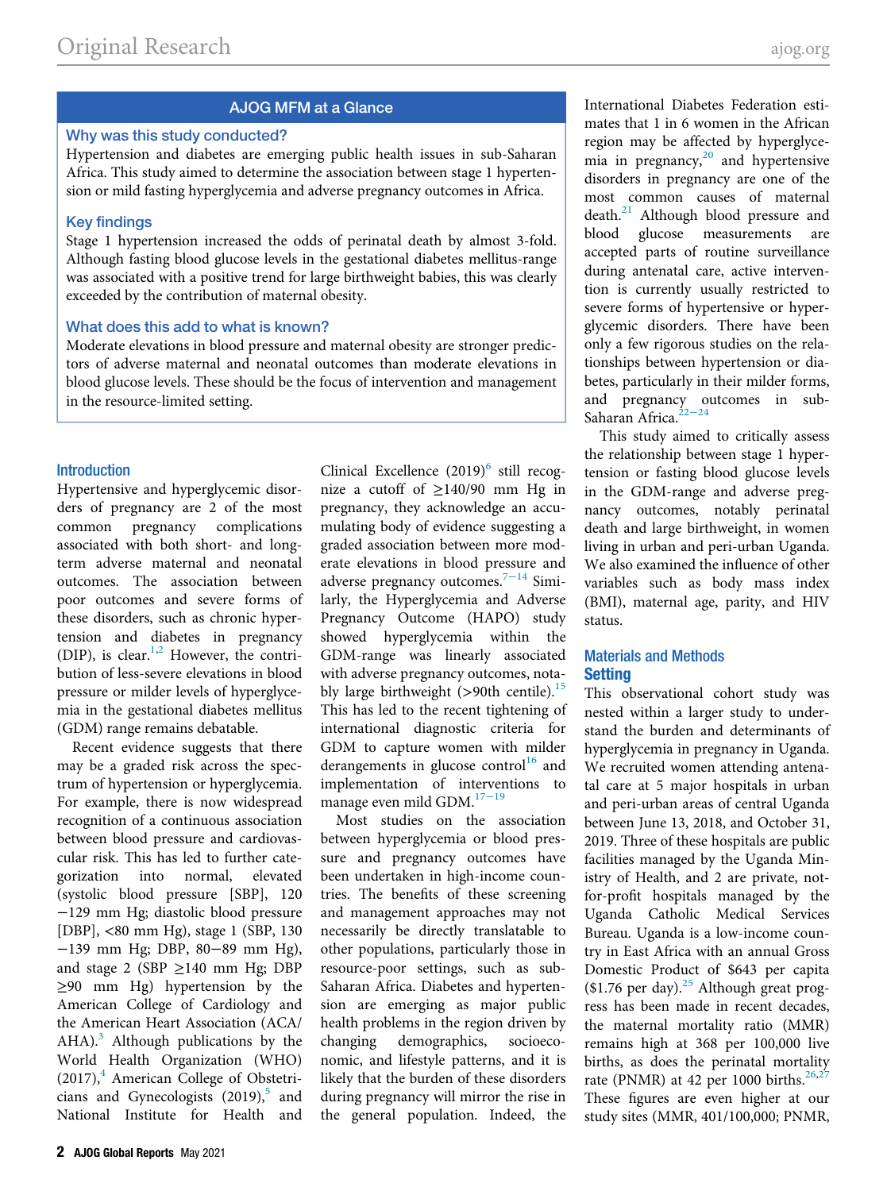# AJOG MFM at a Glance

#### Why was this study conducted?

Hypertension and diabetes are emerging public health issues in sub-Saharan Africa. This study aimed to determine the association between stage 1 hypertension or mild fasting hyperglycemia and adverse pregnancy outcomes in Africa.

#### Key findings

Stage 1 hypertension increased the odds of perinatal death by almost 3-fold. Although fasting blood glucose levels in the gestational diabetes mellitus-range was associated with a positive trend for large birthweight babies, this was clearly exceeded by the contribution of maternal obesity.

#### What does this add to what is known?

Moderate elevations in blood pressure and maternal obesity are stronger predictors of adverse maternal and neonatal outcomes than moderate elevations in blood glucose levels. These should be the focus of intervention and management in the resource-limited setting.

#### **Introduction**

Hypertensive and hyperglycemic disorders of pregnancy are 2 of the most common pregnancy complications associated with both short- and longterm adverse maternal and neonatal outcomes. The association between poor outcomes and severe forms of these disorders, such as chronic hypertension and diabetes in pregnancy (DIP), is clear.<sup>[1](#page-7-0),[2](#page-7-1)</sup> However, the contribution of less-severe elevations in blood pressure or milder levels of hyperglycemia in the gestational diabetes mellitus (GDM) range remains debatable.

Recent evidence suggests that there may be a graded risk across the spectrum of hypertension or hyperglycemia. For example, there is now widespread recognition of a continuous association between blood pressure and cardiovascular risk. This has led to further categorization into normal, elevated (systolic blood pressure [SBP], 120 −129 mm Hg; diastolic blood pressure [DBP], <80 mm Hg), stage 1 (SBP, 130 −139 mm Hg; DBP, 80−89 mm Hg), and stage 2 (SBP  $\geq$  140 mm Hg; DBP ≥90 mm Hg) hypertension by the American College of Cardiology and the American Heart Association (ACA/ AHA). $3$  Although publications by the World Health Organization (WHO)  $(2017)$ , American College of Obstetricians and Gynecologists  $(2019)$ <sup>[5](#page-7-4)</sup> and National Institute for Health and

Clinical Excellence  $(2019)^6$  $(2019)^6$  still recognize a cutoff of  $\geq$ 140/90 mm Hg in pregnancy, they acknowledge an accumulating body of evidence suggesting a graded association between more moderate elevations in blood pressure and adverse pregnancy outcomes. $7-14$  $7-14$  Similarly, the Hyperglycemia and Adverse Pregnancy Outcome (HAPO) study showed hyperglycemia within the GDM-range was linearly associated with adverse pregnancy outcomes, notably large birthweight  $(>90$ th centile).<sup>[15](#page-7-7)</sup> This has led to the recent tightening of international diagnostic criteria for GDM to capture women with milder derangements in glucose control<sup>[16](#page-7-8)</sup> and implementation of interventions to manage even mild GDM.[17](#page-7-9)−<sup>19</sup>

Most studies on the association between hyperglycemia or blood pressure and pregnancy outcomes have been undertaken in high-income countries. The benefits of these screening and management approaches may not necessarily be directly translatable to other populations, particularly those in resource-poor settings, such as sub-Saharan Africa. Diabetes and hypertension are emerging as major public health problems in the region driven by changing demographics, socioeconomic, and lifestyle patterns, and it is likely that the burden of these disorders during pregnancy will mirror the rise in the general population. Indeed, the International Diabetes Federation estimates that 1 in 6 women in the African region may be affected by hyperglyce-mia in pregnancy,<sup>[20](#page-7-10)</sup> and hypertensive disorders in pregnancy are one of the most common causes of maternal death.<sup>[21](#page-7-11)</sup> Although blood pressure and blood glucose measurements are accepted parts of routine surveillance during antenatal care, active intervention is currently usually restricted to severe forms of hypertensive or hyperglycemic disorders. There have been only a few rigorous studies on the relationships between hypertension or diabetes, particularly in their milder forms, and pregnancy outcomes in sub-Saharan Africa.<sup>22−[24](#page-7-12)</sup>

This study aimed to critically assess the relationship between stage 1 hypertension or fasting blood glucose levels in the GDM-range and adverse pregnancy outcomes, notably perinatal death and large birthweight, in women living in urban and peri-urban Uganda. We also examined the influence of other variables such as body mass index (BMI), maternal age, parity, and HIV status.

## Materials and Methods **Setting**

This observational cohort study was nested within a larger study to understand the burden and determinants of hyperglycemia in pregnancy in Uganda. We recruited women attending antenatal care at 5 major hospitals in urban and peri-urban areas of central Uganda between June 13, 2018, and October 31, 2019. Three of these hospitals are public facilities managed by the Uganda Ministry of Health, and 2 are private, notfor-profit hospitals managed by the Uganda Catholic Medical Services Bureau. Uganda is a low-income country in East Africa with an annual Gross Domestic Product of \$643 per capita  $$1.76$  per day).<sup>[25](#page-7-13)</sup> Although great progress has been made in recent decades, the maternal mortality ratio (MMR) remains high at 368 per 100,000 live births, as does the perinatal mortality rate (PNMR) at 42 per 1000 births. $26,27$  $26,27$  $26,27$ These figures are even higher at our study sites (MMR, 401/100,000; PNMR,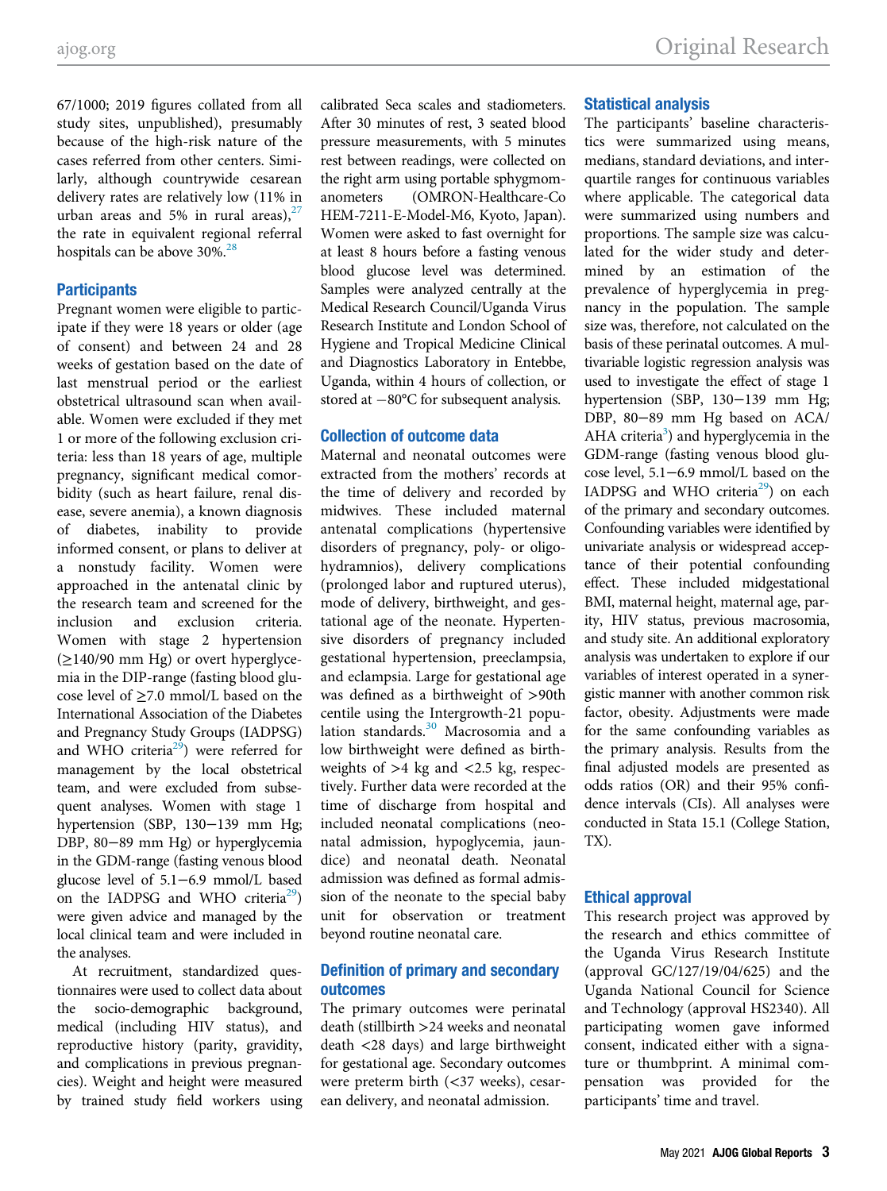67/1000; 2019 figures collated from all study sites, unpublished), presumably because of the high-risk nature of the cases referred from other centers. Similarly, although countrywide cesarean delivery rates are relatively low (11% in urban areas and 5% in rural areas), $27$ the rate in equivalent regional referral hospitals can be above  $30\%$ <sup>[28](#page-7-16)</sup>

## **Participants**

Pregnant women were eligible to participate if they were 18 years or older (age of consent) and between 24 and 28 weeks of gestation based on the date of last menstrual period or the earliest obstetrical ultrasound scan when available. Women were excluded if they met 1 or more of the following exclusion criteria: less than 18 years of age, multiple pregnancy, significant medical comorbidity (such as heart failure, renal disease, severe anemia), a known diagnosis of diabetes, inability to provide informed consent, or plans to deliver at a nonstudy facility. Women were approached in the antenatal clinic by the research team and screened for the inclusion and exclusion criteria. Women with stage 2 hypertension  $(\geq$ 140/90 mm Hg) or overt hyperglycemia in the DIP-range (fasting blood glucose level of ≥7.0 mmol/L based on the International Association of the Diabetes and Pregnancy Study Groups (IADPSG) and WHO criteria<sup>29</sup>) were referred for management by the local obstetrical team, and were excluded from subsequent analyses. Women with stage 1 hypertension (SBP, 130−139 mm Hg; DBP, 80−89 mm Hg) or hyperglycemia in the GDM-range (fasting venous blood glucose level of 5.1−6.9 mmol/L based on the IADPSG and WHO criteria<sup>29</sup>) were given advice and managed by the local clinical team and were included in the analyses.

At recruitment, standardized questionnaires were used to collect data about the socio-demographic background, medical (including HIV status), and reproductive history (parity, gravidity, and complications in previous pregnancies). Weight and height were measured by trained study field workers using

calibrated Seca scales and stadiometers. After 30 minutes of rest, 3 seated blood pressure measurements, with 5 minutes rest between readings, were collected on the right arm using portable sphygmomanometers (OMRON-Healthcare-Co HEM-7211-E-Model-M6, Kyoto, Japan). Women were asked to fast overnight for at least 8 hours before a fasting venous blood glucose level was determined. Samples were analyzed centrally at the Medical Research Council/Uganda Virus Research Institute and London School of Hygiene and Tropical Medicine Clinical and Diagnostics Laboratory in Entebbe, Uganda, within 4 hours of collection, or stored at  $-80^{\circ}$ C for subsequent analysis.

## Collection of outcome data

Maternal and neonatal outcomes were extracted from the mothers' records at the time of delivery and recorded by midwives. These included maternal antenatal complications (hypertensive disorders of pregnancy, poly- or oligohydramnios), delivery complications (prolonged labor and ruptured uterus), mode of delivery, birthweight, and gestational age of the neonate. Hypertensive disorders of pregnancy included gestational hypertension, preeclampsia, and eclampsia. Large for gestational age was defined as a birthweight of >90th centile using the Intergrowth-21 popu-lation standards.<sup>[30](#page-7-18)</sup> Macrosomia and a low birthweight were defined as birthweights of >4 kg and <2.5 kg, respectively. Further data were recorded at the time of discharge from hospital and included neonatal complications (neonatal admission, hypoglycemia, jaundice) and neonatal death. Neonatal admission was defined as formal admission of the neonate to the special baby unit for observation or treatment beyond routine neonatal care.

# Definition of primary and secondary outcomes

The primary outcomes were perinatal death (stillbirth >24 weeks and neonatal death <28 days) and large birthweight for gestational age. Secondary outcomes were preterm birth (<37 weeks), cesarean delivery, and neonatal admission.

## Statistical analysis

The participants' baseline characteristics were summarized using means, medians, standard deviations, and interquartile ranges for continuous variables where applicable. The categorical data were summarized using numbers and proportions. The sample size was calculated for the wider study and determined by an estimation of the prevalence of hyperglycemia in pregnancy in the population. The sample size was, therefore, not calculated on the basis of these perinatal outcomes. A multivariable logistic regression analysis was used to investigate the effect of stage 1 hypertension (SBP, 130−139 mm Hg; DBP, 80−89 mm Hg based on ACA/ AHA criteria<sup>3</sup>) and hyperglycemia in the GDM-range (fasting venous blood glucose level, 5.1−6.9 mmol/L based on the IADPSG and WHO criteria<sup>[29](#page-7-17)</sup>) on each of the primary and secondary outcomes. Confounding variables were identified by univariate analysis or widespread acceptance of their potential confounding effect. These included midgestational BMI, maternal height, maternal age, parity, HIV status, previous macrosomia, and study site. An additional exploratory analysis was undertaken to explore if our variables of interest operated in a synergistic manner with another common risk factor, obesity. Adjustments were made for the same confounding variables as the primary analysis. Results from the final adjusted models are presented as odds ratios (OR) and their 95% confidence intervals (CIs). All analyses were conducted in Stata 15.1 (College Station, TX).

## Ethical approval

This research project was approved by the research and ethics committee of the Uganda Virus Research Institute (approval GC/127/19/04/625) and the Uganda National Council for Science and Technology (approval HS2340). All participating women gave informed consent, indicated either with a signature or thumbprint. A minimal compensation was provided for the participants' time and travel.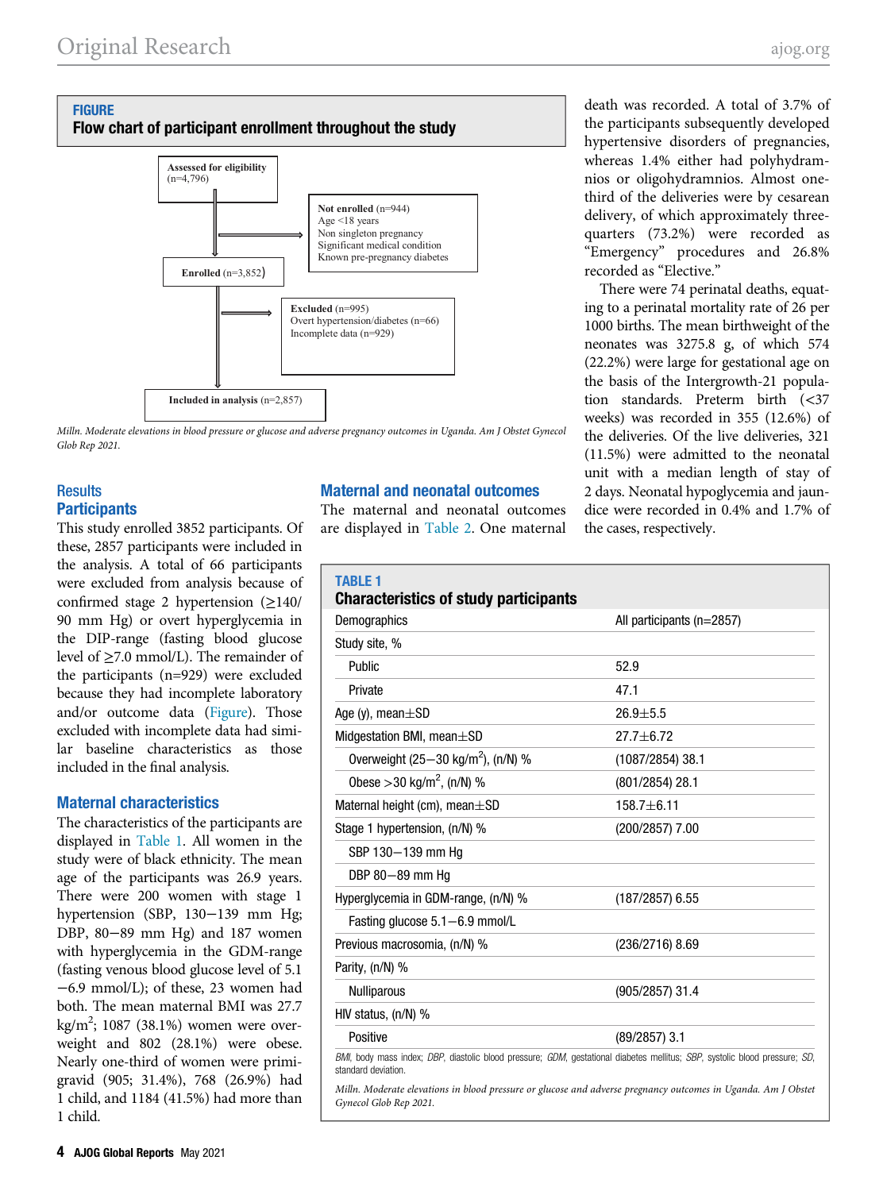#### <span id="page-3-0"></span>**FIGURE** Flow chart of participant enrollment throughout the study



Milln. Moderate elevations in blood pressure or glucose and adverse pregnancy outcomes in Uganda. Am J Obstet Gynecol Glob Rep 2021.

# **Results Participants**

<span id="page-3-1"></span>This study enrolled 3852 participants. Of these, 2857 participants were included in the analysis. A total of 66 participants were excluded from analysis because of confirmed stage 2 hypertension (≥140/ 90 mm Hg) or overt hyperglycemia in the DIP-range (fasting blood glucose level of  $\geq$ 7.0 mmol/L). The remainder of the participants (n=929) were excluded because they had incomplete laboratory and/or outcome data [\(Figure\)](#page-3-0). Those excluded with incomplete data had similar baseline characteristics as those included in the final analysis.

# Maternal characteristics

The characteristics of the participants are displayed in [Table 1.](#page-3-1) All women in the study were of black ethnicity. The mean age of the participants was 26.9 years. There were 200 women with stage 1 hypertension (SBP, 130−139 mm Hg; DBP, 80−89 mm Hg) and 187 women with hyperglycemia in the GDM-range (fasting venous blood glucose level of 5.1 −6.9 mmol/L); of these, 23 women had both. The mean maternal BMI was 27.7 kg/m<sup>2</sup>; 1087 (38.1%) women were overweight and 802 (28.1%) were obese. Nearly one-third of women were primigravid (905; 31.4%), 768 (26.9%) had 1 child, and 1184 (41.5%) had more than 1 child.

# Maternal and neonatal outcomes

The maternal and neonatal outcomes are displayed in [Table 2](#page-4-0). One maternal

death was recorded. A total of 3.7% of the participants subsequently developed hypertensive disorders of pregnancies, whereas 1.4% either had polyhydramnios or oligohydramnios. Almost onethird of the deliveries were by cesarean delivery, of which approximately threequarters (73.2%) were recorded as "Emergency" procedures and 26.8% recorded as "Elective."

There were 74 perinatal deaths, equating to a perinatal mortality rate of 26 per 1000 births. The mean birthweight of the neonates was 3275.8 g, of which 574 (22.2%) were large for gestational age on the basis of the Intergrowth-21 population standards. Preterm birth (<37 weeks) was recorded in 355 (12.6%) of the deliveries. Of the live deliveries, 321 (11.5%) were admitted to the neonatal unit with a median length of stay of 2 days. Neonatal hypoglycemia and jaundice were recorded in 0.4% and 1.7% of the cases, respectively.

| <b>TABLE 1</b><br><b>Characteristics of study participants</b>                                                                                    |                           |
|---------------------------------------------------------------------------------------------------------------------------------------------------|---------------------------|
| Demographics                                                                                                                                      | All participants (n=2857) |
| Study site, %                                                                                                                                     |                           |
| Public                                                                                                                                            | 52.9                      |
| Private                                                                                                                                           | 47.1                      |
| Age (y), mean $\pm$ SD                                                                                                                            | $26.9 + 5.5$              |
| Midgestation BMI, mean±SD                                                                                                                         | $27.7 + 6.72$             |
| Overweight $(25-30 \text{ kg/m}^2)$ , (n/N) %                                                                                                     | $(1087/2854)$ 38.1        |
| Obese > 30 kg/m <sup>2</sup> , (n/N) %                                                                                                            | $(801/2854)$ 28.1         |
| Maternal height (cm), mean $\pm$ SD                                                                                                               | $158.7 + 6.11$            |
| Stage 1 hypertension, (n/N) %                                                                                                                     | (200/2857) 7.00           |
| SBP 130-139 mm Hq                                                                                                                                 |                           |
| DBP 80-89 mm Hq                                                                                                                                   |                           |
| Hyperglycemia in GDM-range, (n/N) %                                                                                                               | $(187/2857)$ 6.55         |
| Fasting glucose 5.1-6.9 mmol/L                                                                                                                    |                           |
| Previous macrosomia, (n/N) %                                                                                                                      | $(236/2716)$ 8.69         |
| Parity, (n/N) %                                                                                                                                   |                           |
| <b>Nulliparous</b>                                                                                                                                | $(905/2857)$ 31.4         |
| HIV status, $(n/N)$ %                                                                                                                             |                           |
| Positive                                                                                                                                          | $(89/2857)$ 3.1           |
| BMI, body mass index; DBP, diastolic blood pressure; GDM, gestational diabetes mellitus; SBP, systolic blood pressure; SD,<br>standard deviation. |                           |

Milln. Moderate elevations in blood pressure or glucose and adverse pregnancy outcomes in Uganda. Am J Obstet Gynecol Glob Rep 2021.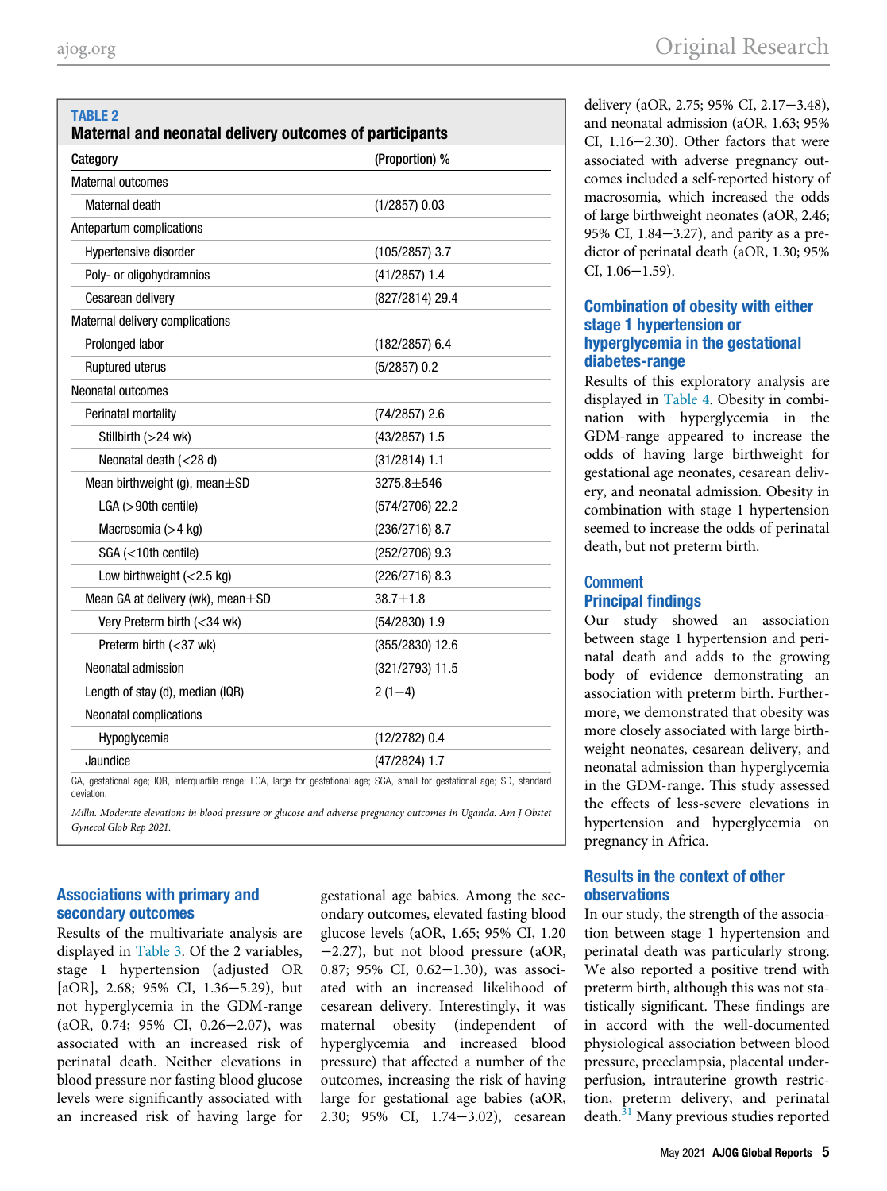<span id="page-4-0"></span>TABLE 2

# delivery (aOR, 2.75; 95% CI, 2.17−3.48), and neonatal admission (aOR, 1.63; 95% CI, 1.16−2.30). Other factors that were associated with adverse pregnancy outcomes included a self-reported history of macrosomia, which increased the odds of large birthweight neonates (aOR, 2.46; 95% CI, 1.84−3.27), and parity as a predictor of perinatal death (aOR, 1.30; 95% CI, 1.06−1.59).

# Combination of obesity with either stage 1 hypertension or hyperglycemia in the gestational diabetes-range

Results of this exploratory analysis are displayed in [Table 4](#page-5-1). Obesity in combination with hyperglycemia in the GDM-range appeared to increase the odds of having large birthweight for gestational age neonates, cesarean delivery, and neonatal admission. Obesity in combination with stage 1 hypertension seemed to increase the odds of perinatal death, but not preterm birth.

# Comment Principal findings

Our study showed an association between stage 1 hypertension and perinatal death and adds to the growing body of evidence demonstrating an association with preterm birth. Furthermore, we demonstrated that obesity was more closely associated with large birthweight neonates, cesarean delivery, and neonatal admission than hyperglycemia in the GDM-range. This study assessed the effects of less-severe elevations in hypertension and hyperglycemia on pregnancy in Africa.

# Results in the context of other observations

In our study, the strength of the association between stage 1 hypertension and perinatal death was particularly strong. We also reported a positive trend with preterm birth, although this was not statistically significant. These findings are in accord with the well-documented physiological association between blood pressure, preeclampsia, placental underperfusion, intrauterine growth restriction, preterm delivery, and perinatal death.<sup>[31](#page-7-19)</sup> Many previous studies reported

| Category                                                                                                                                  | (Proportion) %    |
|-------------------------------------------------------------------------------------------------------------------------------------------|-------------------|
| Maternal outcomes                                                                                                                         |                   |
| Maternal death                                                                                                                            | $(1/2857)$ 0.03   |
| Antepartum complications                                                                                                                  |                   |
| Hypertensive disorder                                                                                                                     | $(105/2857)$ 3.7  |
| Poly- or oligohydramnios                                                                                                                  | $(41/2857)$ 1.4   |
| Cesarean delivery                                                                                                                         | (827/2814) 29.4   |
| Maternal delivery complications                                                                                                           |                   |
| Prolonged labor                                                                                                                           | $(182/2857)$ 6.4  |
| Ruptured uterus                                                                                                                           | $(5/2857)$ 0.2    |
| Neonatal outcomes                                                                                                                         |                   |
| Perinatal mortality                                                                                                                       | $(74/2857)$ 2.6   |
| Stillbirth $(>24$ wk)                                                                                                                     | $(43/2857)$ 1.5   |
| Neonatal death $(<$ 28 d)                                                                                                                 | $(31/2814)$ 1.1   |
| Mean birthweight (g), mean $\pm$ SD                                                                                                       | $3275.8 + 546$    |
| $LGA (>90th$ centile)                                                                                                                     | $(574/2706)$ 22.2 |
| Macrosomia (>4 kg)                                                                                                                        | $(236/2716)$ 8.7  |
| SGA (<10th centile)                                                                                                                       | $(252/2706)$ 9.3  |
| Low birthweight $(<2.5$ kg)                                                                                                               | $(226/2716)$ 8.3  |
| Mean GA at delivery (wk), mean $\pm$ SD                                                                                                   | $38.7 + 1.8$      |
| Very Preterm birth (<34 wk)                                                                                                               | $(54/2830)$ 1.9   |
| Preterm birth $(<$ 37 wk)                                                                                                                 | (355/2830) 12.6   |
| Neonatal admission                                                                                                                        | (321/2793) 11.5   |
| Length of stay (d), median (IQR)                                                                                                          | $2(1-4)$          |
| Neonatal complications                                                                                                                    |                   |
| Hypoglycemia                                                                                                                              | $(12/2782)$ 0.4   |
| Jaundice                                                                                                                                  | $(47/2824)$ 1.7   |
| GA, gestational age; IQR, interquartile range; LGA, large for gestational age; SGA, small for gestational age; SD, standard<br>deviation. |                   |

Maternal and neonatal delivery outcomes of participants

Milln. Moderate elevations in blood pressure or glucose and adverse pregnancy outcomes in Uganda. Am J Obstet Gynecol Glob Rep 2021.

# Associations with primary and secondary outcomes

Results of the multivariate analysis are displayed in [Table 3.](#page-5-0) Of the 2 variables, stage 1 hypertension (adjusted OR [aOR], 2.68; 95% CI, 1.36−5.29), but not hyperglycemia in the GDM-range (aOR, 0.74; 95% CI, 0.26−2.07), was associated with an increased risk of perinatal death. Neither elevations in blood pressure nor fasting blood glucose levels were significantly associated with an increased risk of having large for

gestational age babies. Among the secondary outcomes, elevated fasting blood glucose levels (aOR, 1.65; 95% CI, 1.20 −2.27), but not blood pressure (aOR, 0.87; 95% CI, 0.62−1.30), was associated with an increased likelihood of cesarean delivery. Interestingly, it was maternal obesity (independent of hyperglycemia and increased blood pressure) that affected a number of the outcomes, increasing the risk of having large for gestational age babies (aOR, 2.30; 95% CI, 1.74−3.02), cesarean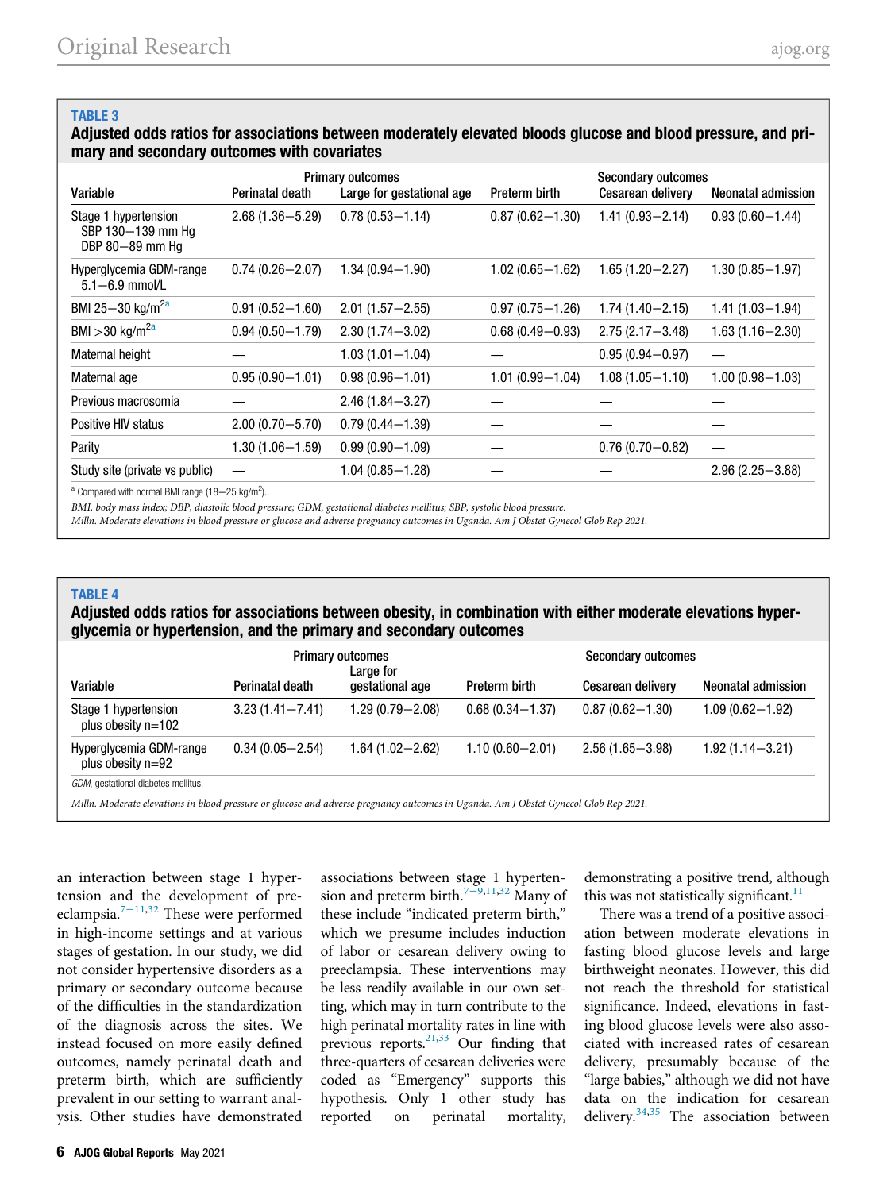# <span id="page-5-0"></span>TABLE 3

Adjusted odds ratios for associations between moderately elevated bloods glucose and blood pressure, and primary and secondary outcomes with covariates

| Variable                                                                | Perinatal death     | <b>Primary outcomes</b><br>Large for gestational age | Preterm birth       | <b>Secondary outcomes</b><br><b>Cesarean delivery</b> | Neonatal admission  |  |
|-------------------------------------------------------------------------|---------------------|------------------------------------------------------|---------------------|-------------------------------------------------------|---------------------|--|
| Stage 1 hypertension<br>SBP 130-139 mm Hq<br>DBP 80-89 mm Hq            | $2.68(1.36 - 5.29)$ | $0.78(0.53 - 1.14)$                                  | $0.87(0.62 - 1.30)$ | $1.41(0.93 - 2.14)$                                   | $0.93(0.60 - 1.44)$ |  |
| Hyperglycemia GDM-range<br>$5.1 - 6.9$ mmol/L                           | $0.74(0.26 - 2.07)$ | $1.34(0.94 - 1.90)$                                  | 1.02 (0.65-1.62)    | $1.65(1.20 - 2.27)$                                   | $1.30(0.85 - 1.97)$ |  |
| BMI 25-30 kg/m <sup>2a</sup>                                            | $0.91(0.52 - 1.60)$ | $2.01(1.57 - 2.55)$                                  | $0.97(0.75 - 1.26)$ | $1.74(1.40 - 2.15)$                                   | $1.41(1.03 - 1.94)$ |  |
| BMI > 30 kg/m <sup>2a</sup>                                             | $0.94(0.50 - 1.79)$ | $2.30(1.74 - 3.02)$                                  | $0.68(0.49 - 0.93)$ | $2.75(2.17 - 3.48)$                                   | $1.63(1.16 - 2.30)$ |  |
| Maternal height                                                         |                     | $1.03(1.01 - 1.04)$                                  |                     | $0.95(0.94 - 0.97)$                                   |                     |  |
| Maternal age                                                            | $0.95(0.90 - 1.01)$ | $0.98(0.96 - 1.01)$                                  | 1.01 (0.99-1.04)    | $1.08(1.05 - 1.10)$                                   | $1.00(0.98 - 1.03)$ |  |
| Previous macrosomia                                                     |                     | $2.46(1.84 - 3.27)$                                  |                     |                                                       |                     |  |
| Positive HIV status                                                     | $2.00(0.70 - 5.70)$ | $0.79(0.44 - 1.39)$                                  |                     |                                                       |                     |  |
| Parity                                                                  | $1.30(1.06 - 1.59)$ | $0.99(0.90 - 1.09)$                                  |                     | $0.76(0.70 - 0.82)$                                   |                     |  |
| Study site (private vs public)                                          |                     | $1.04(0.85 - 1.28)$                                  |                     |                                                       | $2.96(2.25 - 3.88)$ |  |
| <sup>a</sup> Compared with normal BMI range (18-25 kg/m <sup>2</sup> ). |                     |                                                      |                     |                                                       |                     |  |

<span id="page-5-2"></span><sup>a</sup> Compared with normal BMI range (18-25 kg/m<sup>2</sup>

BMI, body mass index; DBP, diastolic blood pressure; GDM, gestational diabetes mellitus; SBP, systolic blood pressure.

Milln. Moderate elevations in blood pressure or glucose and adverse pregnancy outcomes in Uganda. Am J Obstet Gynecol Glob Rep 2021.

#### <span id="page-5-1"></span>**TABLE 4**

#### Adjusted odds ratios for associations between obesity, in combination with either moderate elevations hyperglycemia or hypertension, and the primary and secondary outcomes

|                                              | <b>Primary outcomes</b><br>Large for |                     |                     | <b>Secondary outcomes</b> |                     |
|----------------------------------------------|--------------------------------------|---------------------|---------------------|---------------------------|---------------------|
| Variable                                     | Perinatal death                      | gestational age     | Preterm birth       | <b>Cesarean delivery</b>  | Neonatal admission  |
| Stage 1 hypertension<br>plus obesity $n=102$ | $3.23(1.41 - 7.41)$                  | $1.29(0.79 - 2.08)$ | $0.68(0.34 - 1.37)$ | $0.87(0.62 - 1.30)$       | $1.09(0.62 - 1.92)$ |
| Hyperglycemia GDM-range<br>plus obesity n=92 | $0.34(0.05 - 2.54)$                  | 1.64 (1.02-2.62)    | $1.10(0.60 - 2.01)$ | $2.56(1.65 - 3.98)$       | $1.92(1.14 - 3.21)$ |
| GDM, gestational diabetes mellitus.          |                                      |                     |                     |                           |                     |

Milln. Moderate elevations in blood pressure or glucose and adverse pregnancy outcomes in Uganda. Am J Obstet Gynecol Glob Rep 2021.

an interaction between stage 1 hypertension and the development of preeclampsia.7−[11](#page-7-6)[,32](#page-7-20) These were performed in high-income settings and at various stages of gestation. In our study, we did not consider hypertensive disorders as a primary or secondary outcome because of the difficulties in the standardization of the diagnosis across the sites. We instead focused on more easily defined outcomes, namely perinatal death and preterm birth, which are sufficiently prevalent in our setting to warrant analysis. Other studies have demonstrated

associations between stage 1 hyperten-sion and preterm birth.<sup>7–9[,11](#page-7-21)[,32](#page-7-20)</sup> Many of these include "indicated preterm birth," which we presume includes induction of labor or cesarean delivery owing to preeclampsia. These interventions may be less readily available in our own setting, which may in turn contribute to the high perinatal mortality rates in line with previous reports. $^{21,33}$  $^{21,33}$  $^{21,33}$  Our finding that three-quarters of cesarean deliveries were coded as "Emergency" supports this hypothesis. Only 1 other study has reported on perinatal mortality,

demonstrating a positive trend, although this was not statistically significant. $11$ 

There was a trend of a positive association between moderate elevations in fasting blood glucose levels and large birthweight neonates. However, this did not reach the threshold for statistical significance. Indeed, elevations in fasting blood glucose levels were also associated with increased rates of cesarean delivery, presumably because of the "large babies," although we did not have data on the indication for cesarean delivery.  $34,35$  $34,35$  $34,35$  The association between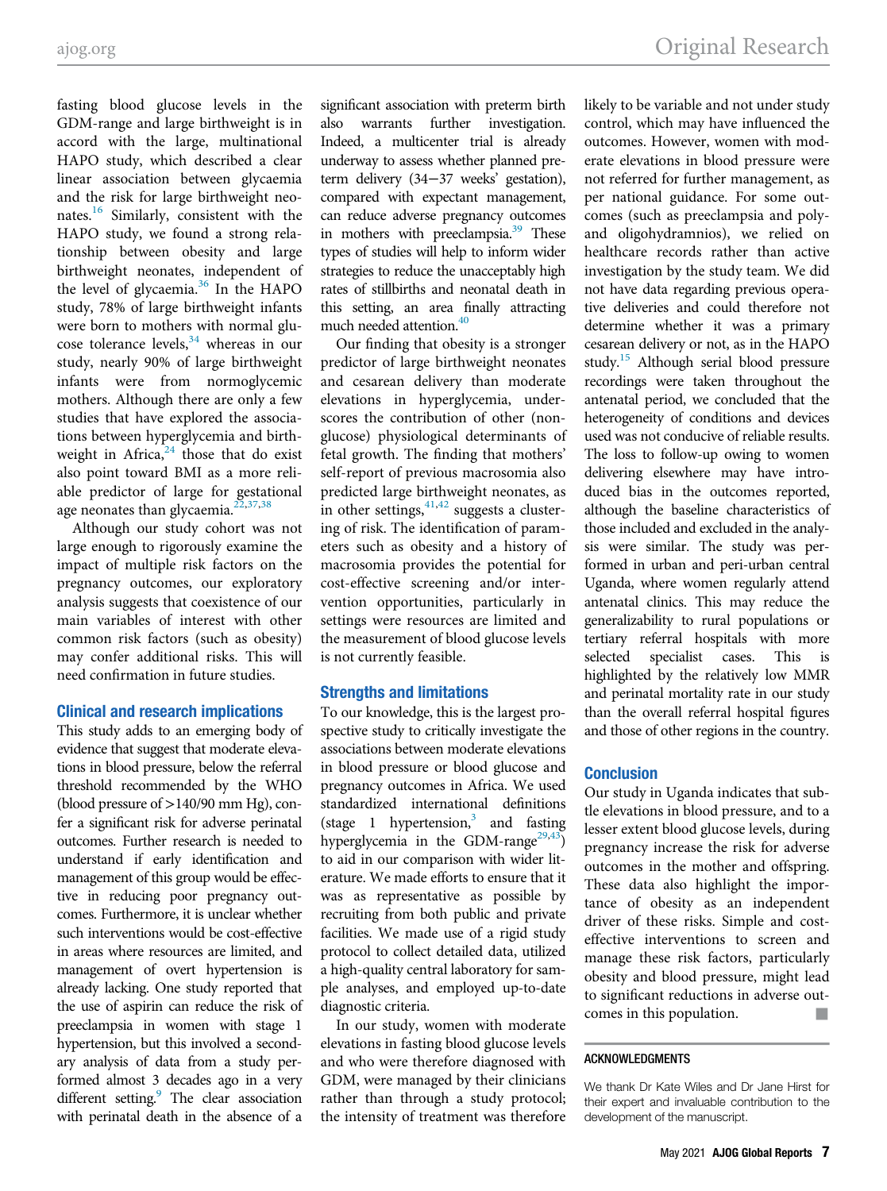[ajog.org](http://www.ajog.org) Original Research

fasting blood glucose levels in the GDM-range and large birthweight is in accord with the large, multinational HAPO study, which described a clear linear association between glycaemia and the risk for large birthweight neo-nates.<sup>[16](#page-7-8)</sup> Similarly, consistent with the HAPO study, we found a strong relationship between obesity and large birthweight neonates, independent of the level of glycaemia. $36$  In the HAPO study, 78% of large birthweight infants were born to mothers with normal glucose tolerance levels, $34$  whereas in our study, nearly 90% of large birthweight infants were from normoglycemic mothers. Although there are only a few studies that have explored the associations between hyperglycemia and birthweight in Africa, $24$  those that do exist also point toward BMI as a more reliable predictor of large for gestational age neonates than glycaemia.<sup>[22](#page-7-12),[37](#page-7-27)[,38](#page-7-28)</sup>

Although our study cohort was not large enough to rigorously examine the impact of multiple risk factors on the pregnancy outcomes, our exploratory analysis suggests that coexistence of our main variables of interest with other common risk factors (such as obesity) may confer additional risks. This will need confirmation in future studies.

### Clinical and research implications

This study adds to an emerging body of evidence that suggest that moderate elevations in blood pressure, below the referral threshold recommended by the WHO (blood pressure of >140/90 mm Hg), confer a significant risk for adverse perinatal outcomes. Further research is needed to understand if early identification and management of this group would be effective in reducing poor pregnancy outcomes. Furthermore, it is unclear whether such interventions would be cost-effective in areas where resources are limited, and management of overt hypertension is already lacking. One study reported that the use of aspirin can reduce the risk of preeclampsia in women with stage 1 hypertension, but this involved a secondary analysis of data from a study performed almost 3 decades ago in a very different setting.<sup>9</sup> The clear association with perinatal death in the absence of a

significant association with preterm birth also warrants further investigation. Indeed, a multicenter trial is already underway to assess whether planned preterm delivery (34−37 weeks' gestation), compared with expectant management, can reduce adverse pregnancy outcomes in mothers with preeclampsia.<sup>[39](#page-7-30)</sup> These types of studies will help to inform wider strategies to reduce the unacceptably high rates of stillbirths and neonatal death in this setting, an area finally attracting much needed attention.<sup>[40](#page-8-0)</sup>

Our finding that obesity is a stronger predictor of large birthweight neonates and cesarean delivery than moderate elevations in hyperglycemia, underscores the contribution of other (nonglucose) physiological determinants of fetal growth. The finding that mothers' self-report of previous macrosomia also predicted large birthweight neonates, as in other settings,  $41,42$  $41,42$  suggests a clustering of risk. The identification of parameters such as obesity and a history of macrosomia provides the potential for cost-effective screening and/or intervention opportunities, particularly in settings were resources are limited and the measurement of blood glucose levels is not currently feasible.

#### Strengths and limitations

To our knowledge, this is the largest prospective study to critically investigate the associations between moderate elevations in blood pressure or blood glucose and pregnancy outcomes in Africa. We used standardized international definitions (stage 1 hypertension, $3$  and fasting hyperglycemia in the GDM-range<sup>29[,43](#page-8-2)</sup>) to aid in our comparison with wider literature. We made efforts to ensure that it was as representative as possible by recruiting from both public and private facilities. We made use of a rigid study protocol to collect detailed data, utilized a high-quality central laboratory for sample analyses, and employed up-to-date diagnostic criteria.

In our study, women with moderate elevations in fasting blood glucose levels and who were therefore diagnosed with GDM, were managed by their clinicians rather than through a study protocol; the intensity of treatment was therefore likely to be variable and not under study control, which may have influenced the outcomes. However, women with moderate elevations in blood pressure were not referred for further management, as per national guidance. For some outcomes (such as preeclampsia and polyand oligohydramnios), we relied on healthcare records rather than active investigation by the study team. We did not have data regarding previous operative deliveries and could therefore not determine whether it was a primary cesarean delivery or not, as in the HAPO study.[15](#page-7-7) Although serial blood pressure recordings were taken throughout the antenatal period, we concluded that the heterogeneity of conditions and devices used was not conducive of reliable results. The loss to follow-up owing to women delivering elsewhere may have introduced bias in the outcomes reported, although the baseline characteristics of those included and excluded in the analysis were similar. The study was performed in urban and peri-urban central Uganda, where women regularly attend antenatal clinics. This may reduce the generalizability to rural populations or tertiary referral hospitals with more selected specialist cases. This is highlighted by the relatively low MMR and perinatal mortality rate in our study than the overall referral hospital figures and those of other regions in the country.

### **Conclusion**

Our study in Uganda indicates that subtle elevations in blood pressure, and to a lesser extent blood glucose levels, during pregnancy increase the risk for adverse outcomes in the mother and offspring. These data also highlight the importance of obesity as an independent driver of these risks. Simple and costeffective interventions to screen and manage these risk factors, particularly obesity and blood pressure, might lead to significant reductions in adverse outcomes in this population. &

#### ACKNOWLEDGMENTS

We thank Dr Kate Wiles and Dr Jane Hirst for their expert and invaluable contribution to the development of the manuscript.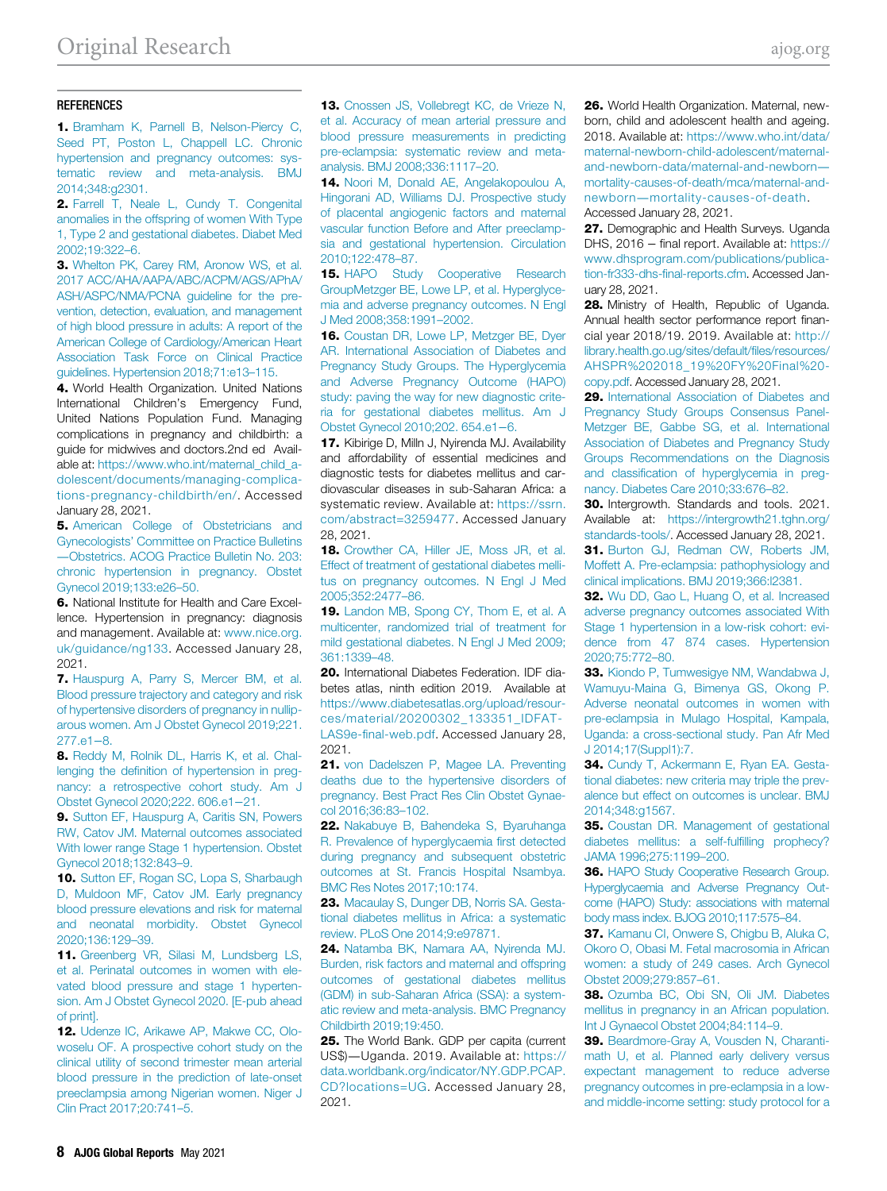#### <span id="page-7-14"></span>**REFERENCES**

<span id="page-7-0"></span>1. [Bramham K, Parnell B, Nelson-Piercy C,](http://refhub.elsevier.com/S2666-5778(21)00005-8/sbref0001) [Seed PT, Poston L, Chappell LC. Chronic](http://refhub.elsevier.com/S2666-5778(21)00005-8/sbref0001) [hypertension and pregnancy outcomes: sys](http://refhub.elsevier.com/S2666-5778(21)00005-8/sbref0001)[tematic review and meta-analysis. BMJ](http://refhub.elsevier.com/S2666-5778(21)00005-8/sbref0001) [2014;348:g2301.](http://refhub.elsevier.com/S2666-5778(21)00005-8/sbref0001)

<span id="page-7-15"></span><span id="page-7-1"></span>2. [Farrell T, Neale L, Cundy T. Congenital](http://refhub.elsevier.com/S2666-5778(21)00005-8/sbref0002) [anomalies in the offspring of women With Type](http://refhub.elsevier.com/S2666-5778(21)00005-8/sbref0002) [1, Type 2 and gestational diabetes. Diabet Med](http://refhub.elsevier.com/S2666-5778(21)00005-8/sbref0002) [2002;19:322](http://refhub.elsevier.com/S2666-5778(21)00005-8/sbref0002)–6.

<span id="page-7-16"></span><span id="page-7-7"></span><span id="page-7-2"></span>3. [Whelton PK, Carey RM, Aronow WS, et al.](http://refhub.elsevier.com/S2666-5778(21)00005-8/sbref0003) [2017 ACC/AHA/AAPA/ABC/ACPM/AGS/APhA/](http://refhub.elsevier.com/S2666-5778(21)00005-8/sbref0003) [ASH/ASPC/NMA/PCNA guideline for the pre](http://refhub.elsevier.com/S2666-5778(21)00005-8/sbref0003)[vention, detection, evaluation, and management](http://refhub.elsevier.com/S2666-5778(21)00005-8/sbref0003) [of high blood pressure in adults: A report of the](http://refhub.elsevier.com/S2666-5778(21)00005-8/sbref0003) [American College of Cardiology/American Heart](http://refhub.elsevier.com/S2666-5778(21)00005-8/sbref0003) [Association Task Force on Clinical Practice](http://refhub.elsevier.com/S2666-5778(21)00005-8/sbref0003) [guidelines. Hypertension 2018;71:e13](http://refhub.elsevier.com/S2666-5778(21)00005-8/sbref0003)–115.

<span id="page-7-17"></span><span id="page-7-9"></span><span id="page-7-8"></span><span id="page-7-3"></span>4. World Health Organization. United Nations International Children's Emergency Fund, United Nations Population Fund. Managing complications in pregnancy and childbirth: a guide for midwives and doctors.2nd ed Available at: [https://www.who.int/maternal\\_child\\_a](https://www.who.int/maternal_child_adolescent/documents/managing-complications-pregnancy-childbirth/en/)[dolescent/documents/managing-complica](https://www.who.int/maternal_child_adolescent/documents/managing-complications-pregnancy-childbirth/en/)[tions-pregnancy-childbirth/en/](https://www.who.int/maternal_child_adolescent/documents/managing-complications-pregnancy-childbirth/en/). Accessed January 28, 2021.

<span id="page-7-19"></span><span id="page-7-18"></span><span id="page-7-4"></span>5. [American College of Obstetricians and](http://refhub.elsevier.com/S2666-5778(21)00005-8/sbref0005) Gynecologists' [Committee on Practice Bulletins](http://refhub.elsevier.com/S2666-5778(21)00005-8/sbref0005) —[Obstetrics. ACOG Practice Bulletin No. 203:](http://refhub.elsevier.com/S2666-5778(21)00005-8/sbref0005) [chronic hypertension in pregnancy. Obstet](http://refhub.elsevier.com/S2666-5778(21)00005-8/sbref0005) [Gynecol 2019;133:e26](http://refhub.elsevier.com/S2666-5778(21)00005-8/sbref0005)–50.

<span id="page-7-20"></span><span id="page-7-5"></span>6. National Institute for Health and Care Excellence. Hypertension in pregnancy: diagnosis and management. Available at: [www.nice.org.](http://www.nice.org.uk/guidance/ng133) [uk/guidance/ng133](http://www.nice.org.uk/guidance/ng133). Accessed January 28, 2021.

<span id="page-7-22"></span><span id="page-7-10"></span><span id="page-7-6"></span>7. [Hauspurg A, Parry S, Mercer BM, et al.](http://refhub.elsevier.com/S2666-5778(21)00005-8/sbref0007) [Blood pressure trajectory and category and risk](http://refhub.elsevier.com/S2666-5778(21)00005-8/sbref0007) [of hypertensive disorders of pregnancy in nullip](http://refhub.elsevier.com/S2666-5778(21)00005-8/sbref0007)[arous women. Am J Obstet Gynecol 2019;221.](http://refhub.elsevier.com/S2666-5778(21)00005-8/sbref0007) [277.e1](http://refhub.elsevier.com/S2666-5778(21)00005-8/sbref0007)−8.

<span id="page-7-23"></span><span id="page-7-11"></span>8. [Reddy M, Rolnik DL, Harris K, et al. Chal](http://refhub.elsevier.com/S2666-5778(21)00005-8/sbref0008)lenging the defi[nition of hypertension in preg](http://refhub.elsevier.com/S2666-5778(21)00005-8/sbref0008)[nancy: a retrospective cohort study. Am J](http://refhub.elsevier.com/S2666-5778(21)00005-8/sbref0008) [Obstet Gynecol 2020;222. 606.e1](http://refhub.elsevier.com/S2666-5778(21)00005-8/sbref0008)−21.

<span id="page-7-29"></span><span id="page-7-24"></span><span id="page-7-12"></span>9. [Sutton EF, Hauspurg A, Caritis SN, Powers](http://refhub.elsevier.com/S2666-5778(21)00005-8/sbref0009) [RW, Catov JM. Maternal outcomes associated](http://refhub.elsevier.com/S2666-5778(21)00005-8/sbref0009) [With lower range Stage 1 hypertension. Obstet](http://refhub.elsevier.com/S2666-5778(21)00005-8/sbref0009) [Gynecol 2018;132:843](http://refhub.elsevier.com/S2666-5778(21)00005-8/sbref0009)–9.

<span id="page-7-25"></span>10. [Sutton EF, Rogan SC, Lopa S, Sharbaugh](http://refhub.elsevier.com/S2666-5778(21)00005-8/sbref0010) [D, Muldoon MF, Catov JM. Early pregnancy](http://refhub.elsevier.com/S2666-5778(21)00005-8/sbref0010) [blood pressure elevations and risk for maternal](http://refhub.elsevier.com/S2666-5778(21)00005-8/sbref0010) [and neonatal morbidity. Obstet Gynecol](http://refhub.elsevier.com/S2666-5778(21)00005-8/sbref0010) [2020;136:129](http://refhub.elsevier.com/S2666-5778(21)00005-8/sbref0010)–39.

<span id="page-7-28"></span><span id="page-7-27"></span><span id="page-7-26"></span><span id="page-7-21"></span>11. [Greenberg VR, Silasi M, Lundsberg LS,](http://refhub.elsevier.com/S2666-5778(21)00005-8/sbref0011) [et al. Perinatal outcomes in women with ele](http://refhub.elsevier.com/S2666-5778(21)00005-8/sbref0011)[vated blood pressure and stage 1 hyperten](http://refhub.elsevier.com/S2666-5778(21)00005-8/sbref0011)[sion. Am J Obstet Gynecol 2020. \[E-pub ahead](http://refhub.elsevier.com/S2666-5778(21)00005-8/sbref0011) [of print\].](http://refhub.elsevier.com/S2666-5778(21)00005-8/sbref0011)

<span id="page-7-30"></span><span id="page-7-13"></span>12. [Udenze IC, Arikawe AP, Makwe CC, Olo](http://refhub.elsevier.com/S2666-5778(21)00005-8/sbref0012)[woselu OF. A prospective cohort study on the](http://refhub.elsevier.com/S2666-5778(21)00005-8/sbref0012) [clinical utility of second trimester mean arterial](http://refhub.elsevier.com/S2666-5778(21)00005-8/sbref0012) [blood pressure in the prediction of late-onset](http://refhub.elsevier.com/S2666-5778(21)00005-8/sbref0012) [preeclampsia among Nigerian women. Niger J](http://refhub.elsevier.com/S2666-5778(21)00005-8/sbref0012) [Clin Pract 2017;20:741](http://refhub.elsevier.com/S2666-5778(21)00005-8/sbref0012)–5.

13. [Cnossen JS, Vollebregt KC, de Vrieze N,](http://refhub.elsevier.com/S2666-5778(21)00005-8/sbref0013) [et al. Accuracy of mean arterial pressure and](http://refhub.elsevier.com/S2666-5778(21)00005-8/sbref0013) [blood pressure measurements in predicting](http://refhub.elsevier.com/S2666-5778(21)00005-8/sbref0013) [pre-eclampsia: systematic review and meta](http://refhub.elsevier.com/S2666-5778(21)00005-8/sbref0013)[analysis. BMJ 2008;336:1117](http://refhub.elsevier.com/S2666-5778(21)00005-8/sbref0013)–20.

14. [Noori M, Donald AE, Angelakopoulou A,](http://refhub.elsevier.com/S2666-5778(21)00005-8/sbref0014) [Hingorani AD, Williams DJ. Prospective study](http://refhub.elsevier.com/S2666-5778(21)00005-8/sbref0014) [of placental angiogenic factors and maternal](http://refhub.elsevier.com/S2666-5778(21)00005-8/sbref0014) [vascular function Before and After preeclamp](http://refhub.elsevier.com/S2666-5778(21)00005-8/sbref0014)[sia and gestational hypertension. Circulation](http://refhub.elsevier.com/S2666-5778(21)00005-8/sbref0014) [2010;122:478](http://refhub.elsevier.com/S2666-5778(21)00005-8/sbref0014)–87.

15. [HAPO Study Cooperative Research](http://refhub.elsevier.com/S2666-5778(21)00005-8/sbref0015) [GroupMetzger BE, Lowe LP, et al. Hyperglyce](http://refhub.elsevier.com/S2666-5778(21)00005-8/sbref0015)[mia and adverse pregnancy outcomes. N Engl](http://refhub.elsevier.com/S2666-5778(21)00005-8/sbref0015) [J Med 2008;358:1991](http://refhub.elsevier.com/S2666-5778(21)00005-8/sbref0015)–2002.

16. [Coustan DR, Lowe LP, Metzger BE, Dyer](http://refhub.elsevier.com/S2666-5778(21)00005-8/sbref0016) [AR. International Association of Diabetes and](http://refhub.elsevier.com/S2666-5778(21)00005-8/sbref0016) [Pregnancy Study Groups. The Hyperglycemia](http://refhub.elsevier.com/S2666-5778(21)00005-8/sbref0016) [and Adverse Pregnancy Outcome \(HAPO\)](http://refhub.elsevier.com/S2666-5778(21)00005-8/sbref0016) [study: paving the way for new diagnostic crite](http://refhub.elsevier.com/S2666-5778(21)00005-8/sbref0016)[ria for gestational diabetes mellitus. Am J](http://refhub.elsevier.com/S2666-5778(21)00005-8/sbref0016) [Obstet Gynecol 2010;202. 654.e1](http://refhub.elsevier.com/S2666-5778(21)00005-8/sbref0016)−6.

**17.** Kibirige D, Milln J, Nyirenda MJ. Availability and affordability of essential medicines and diagnostic tests for diabetes mellitus and cardiovascular diseases in sub-Saharan Africa: a systematic review. Available at: [https://ssrn.](https://ssrn.com/abstract=3259477) [com/abstract=3259477.](https://ssrn.com/abstract=3259477) Accessed January 28, 2021.

18. [Crowther CA, Hiller JE, Moss JR, et al.](http://refhub.elsevier.com/S2666-5778(21)00005-8/sbref0018) [Effect of treatment of gestational diabetes melli](http://refhub.elsevier.com/S2666-5778(21)00005-8/sbref0018)[tus on pregnancy outcomes. N Engl J Med](http://refhub.elsevier.com/S2666-5778(21)00005-8/sbref0018) [2005;352:2477](http://refhub.elsevier.com/S2666-5778(21)00005-8/sbref0018)–86.

19. [Landon MB, Spong CY, Thom E, et al. A](http://refhub.elsevier.com/S2666-5778(21)00005-8/sbref0019) [multicenter, randomized trial of treatment for](http://refhub.elsevier.com/S2666-5778(21)00005-8/sbref0019) [mild gestational diabetes. N Engl J Med 2009;](http://refhub.elsevier.com/S2666-5778(21)00005-8/sbref0019) [361:1339](http://refhub.elsevier.com/S2666-5778(21)00005-8/sbref0019)–48.

20. International Diabetes Federation. IDF diabetes atlas, ninth edition 2019. Available at [https://www.diabetesatlas.org/upload/resour](https://www.diabetesatlas.org/upload/resources/material/20200302_133351_IDFATLAS9e-final-web.pdf)[ces/material/20200302\\_133351\\_IDFAT-](https://www.diabetesatlas.org/upload/resources/material/20200302_133351_IDFATLAS9e-final-web.pdf)LAS9e-fi[nal-web.pdf.](https://www.diabetesatlas.org/upload/resources/material/20200302_133351_IDFATLAS9e-final-web.pdf) Accessed January 28, 2021.

21. [von Dadelszen P, Magee LA. Preventing](http://refhub.elsevier.com/S2666-5778(21)00005-8/sbref0021) [deaths due to the hypertensive disorders of](http://refhub.elsevier.com/S2666-5778(21)00005-8/sbref0021) [pregnancy. Best Pract Res Clin Obstet Gynae](http://refhub.elsevier.com/S2666-5778(21)00005-8/sbref0021)[col 2016;36:83](http://refhub.elsevier.com/S2666-5778(21)00005-8/sbref0021)–102.

22. [Nakabuye B, Bahendeka S, Byaruhanga](http://refhub.elsevier.com/S2666-5778(21)00005-8/sbref0022) [R. Prevalence of hyperglycaemia](http://refhub.elsevier.com/S2666-5778(21)00005-8/sbref0022) first detected [during pregnancy and subsequent obstetric](http://refhub.elsevier.com/S2666-5778(21)00005-8/sbref0022) [outcomes at St. Francis Hospital Nsambya.](http://refhub.elsevier.com/S2666-5778(21)00005-8/sbref0022) [BMC Res Notes 2017;10:174.](http://refhub.elsevier.com/S2666-5778(21)00005-8/sbref0022)

23. [Macaulay S, Dunger DB, Norris SA. Gesta](http://refhub.elsevier.com/S2666-5778(21)00005-8/sbref0023)[tional diabetes mellitus in Africa: a systematic](http://refhub.elsevier.com/S2666-5778(21)00005-8/sbref0023) [review. PLoS One 2014;9:e97871.](http://refhub.elsevier.com/S2666-5778(21)00005-8/sbref0023)

24. [Natamba BK, Namara AA, Nyirenda MJ.](http://refhub.elsevier.com/S2666-5778(21)00005-8/sbref0024) [Burden, risk factors and maternal and offspring](http://refhub.elsevier.com/S2666-5778(21)00005-8/sbref0024) [outcomes of gestational diabetes mellitus](http://refhub.elsevier.com/S2666-5778(21)00005-8/sbref0024) [\(GDM\) in sub-Saharan Africa \(SSA\): a system](http://refhub.elsevier.com/S2666-5778(21)00005-8/sbref0024)[atic review and meta-analysis. BMC Pregnancy](http://refhub.elsevier.com/S2666-5778(21)00005-8/sbref0024) [Childbirth 2019;19:450.](http://refhub.elsevier.com/S2666-5778(21)00005-8/sbref0024)

25. The World Bank. GDP per capita (current US\$)—Uganda. 2019. Available at: [https://](https://data.worldbank.org/indicator/NY.GDP.PCAP.CD?locations=UG) [data.worldbank.org/indicator/NY.GDP.PCAP.](https://data.worldbank.org/indicator/NY.GDP.PCAP.CD?locations=UG) [CD?locations=UG.](https://data.worldbank.org/indicator/NY.GDP.PCAP.CD?locations=UG) Accessed January 28, 2021.

26. World Health Organization. Maternal, newborn, child and adolescent health and ageing. 2018. Available at: [https://www.who.int/data/](https://www.who.int/data/maternal-newborn-child-adolescent/maternal-and-newborn-data/maternal-and-newborn---mortality-causes-of-death/mca/maternal-and-newborn---mortality-causes-of-death) [maternal-newborn-child-adolescent/maternal](https://www.who.int/data/maternal-newborn-child-adolescent/maternal-and-newborn-data/maternal-and-newborn---mortality-causes-of-death/mca/maternal-and-newborn---mortality-causes-of-death)[and-newborn-data/maternal-and-newborn](https://www.who.int/data/maternal-newborn-child-adolescent/maternal-and-newborn-data/maternal-and-newborn---mortality-causes-of-death/mca/maternal-and-newborn---mortality-causes-of-death) [mortality-causes-of-death/mca/maternal-and](https://www.who.int/data/maternal-newborn-child-adolescent/maternal-and-newborn-data/maternal-and-newborn---mortality-causes-of-death/mca/maternal-and-newborn---mortality-causes-of-death)newborn—[mortality-causes-of-death](https://www.who.int/data/maternal-newborn-child-adolescent/maternal-and-newborn-data/maternal-and-newborn---mortality-causes-of-death/mca/maternal-and-newborn---mortality-causes-of-death). Accessed January 28, 2021.

27. Demographic and Health Surveys. Uganda DHS, 2016 − final report. Available at: [https://](https://www.dhsprogram.com/publications/publication-fr333-dhs-final-reports.cfm) [www.dhsprogram.com/publications/publica](https://www.dhsprogram.com/publications/publication-fr333-dhs-final-reports.cfm)tion-fr333-dhs-fi[nal-reports.cfm.](https://www.dhsprogram.com/publications/publication-fr333-dhs-final-reports.cfm) Accessed January 28, 2021.

28. Ministry of Health, Republic of Uganda. Annual health sector performance report financial year 2018/19. 2019. Available at: [http://](http://library.health.go.ug/sites/default/files/resources/AHSPR%202018_19%20FY%20Final%20copy.pdf) [library.health.go.ug/sites/default/](http://library.health.go.ug/sites/default/files/resources/AHSPR%202018_19%20FY%20Final%20copy.pdf)files/resources/ [AHSPR%202018\\_19%20FY%20Final%20](http://library.health.go.ug/sites/default/files/resources/AHSPR%202018_19%20FY%20Final%20copy.pdf) [copy.pdf.](http://library.health.go.ug/sites/default/files/resources/AHSPR%202018_19%20FY%20Final%20copy.pdf) Accessed January 28, 2021.

29. [International Association of Diabetes and](http://refhub.elsevier.com/S2666-5778(21)00005-8/sbref0029) [Pregnancy Study Groups Consensus Panel-](http://refhub.elsevier.com/S2666-5778(21)00005-8/sbref0029)[Metzger BE, Gabbe SG, et al. International](http://refhub.elsevier.com/S2666-5778(21)00005-8/sbref0029) [Association of Diabetes and Pregnancy Study](http://refhub.elsevier.com/S2666-5778(21)00005-8/sbref0029) [Groups Recommendations on the Diagnosis](http://refhub.elsevier.com/S2666-5778(21)00005-8/sbref0029) and classifi[cation of hyperglycemia in preg](http://refhub.elsevier.com/S2666-5778(21)00005-8/sbref0029)[nancy. Diabetes Care 2010;33:676](http://refhub.elsevier.com/S2666-5778(21)00005-8/sbref0029)–82.

30. Intergrowth. Standards and tools. 2021. Available at: [https://intergrowth21.tghn.org/](https://intergrowth21.tghn.org/standards-tools/) [standards-tools/](https://intergrowth21.tghn.org/standards-tools/). Accessed January 28, 2021.

31. [Burton GJ, Redman CW, Roberts JM,](http://refhub.elsevier.com/S2666-5778(21)00005-8/sbref0031) [Moffett A. Pre-eclampsia: pathophysiology and](http://refhub.elsevier.com/S2666-5778(21)00005-8/sbref0031) [clinical implications. BMJ 2019;366:l2381.](http://refhub.elsevier.com/S2666-5778(21)00005-8/sbref0031)

32. [Wu DD, Gao L, Huang O, et al. Increased](http://refhub.elsevier.com/S2666-5778(21)00005-8/sbref0032) [adverse pregnancy outcomes associated With](http://refhub.elsevier.com/S2666-5778(21)00005-8/sbref0032) [Stage 1 hypertension in a low-risk cohort: evi](http://refhub.elsevier.com/S2666-5778(21)00005-8/sbref0032)[dence from 47 874 cases. Hypertension](http://refhub.elsevier.com/S2666-5778(21)00005-8/sbref0032) [2020;75:772](http://refhub.elsevier.com/S2666-5778(21)00005-8/sbref0032)–80.

33. [Kiondo P, Tumwesigye NM, Wandabwa J,](http://refhub.elsevier.com/S2666-5778(21)00005-8/sbref0033) [Wamuyu-Maina G, Bimenya GS, Okong P.](http://refhub.elsevier.com/S2666-5778(21)00005-8/sbref0033) [Adverse neonatal outcomes in women with](http://refhub.elsevier.com/S2666-5778(21)00005-8/sbref0033) [pre-eclampsia in Mulago Hospital, Kampala,](http://refhub.elsevier.com/S2666-5778(21)00005-8/sbref0033) [Uganda: a cross-sectional study. Pan Afr Med](http://refhub.elsevier.com/S2666-5778(21)00005-8/sbref0033) [J 2014;17\(Suppl1\):7.](http://refhub.elsevier.com/S2666-5778(21)00005-8/sbref0033)

34. [Cundy T, Ackermann E, Ryan EA. Gesta](http://refhub.elsevier.com/S2666-5778(21)00005-8/sbref0034)[tional diabetes: new criteria may triple the prev](http://refhub.elsevier.com/S2666-5778(21)00005-8/sbref0034)[alence but effect on outcomes is unclear. BMJ](http://refhub.elsevier.com/S2666-5778(21)00005-8/sbref0034) [2014;348:g1567.](http://refhub.elsevier.com/S2666-5778(21)00005-8/sbref0034)

35. [Coustan DR. Management of gestational](http://refhub.elsevier.com/S2666-5778(21)00005-8/sbref0035) [diabetes mellitus: a self-ful](http://refhub.elsevier.com/S2666-5778(21)00005-8/sbref0035)filling prophecy? [JAMA 1996;275:1199](http://refhub.elsevier.com/S2666-5778(21)00005-8/sbref0035)–200.

36. [HAPO Study Cooperative Research Group.](http://refhub.elsevier.com/S2666-5778(21)00005-8/sbref0036) [Hyperglycaemia and Adverse Pregnancy Out](http://refhub.elsevier.com/S2666-5778(21)00005-8/sbref0036)[come \(HAPO\) Study: associations with maternal](http://refhub.elsevier.com/S2666-5778(21)00005-8/sbref0036) [body mass index. BJOG 2010;117:575](http://refhub.elsevier.com/S2666-5778(21)00005-8/sbref0036)–84.

37. [Kamanu CI, Onwere S, Chigbu B, Aluka C,](http://refhub.elsevier.com/S2666-5778(21)00005-8/sbref0037) [Okoro O, Obasi M. Fetal macrosomia in African](http://refhub.elsevier.com/S2666-5778(21)00005-8/sbref0037) [women: a study of 249 cases. Arch Gynecol](http://refhub.elsevier.com/S2666-5778(21)00005-8/sbref0037) [Obstet 2009;279:857](http://refhub.elsevier.com/S2666-5778(21)00005-8/sbref0037)–61.

38. [Ozumba BC, Obi SN, Oli JM. Diabetes](http://refhub.elsevier.com/S2666-5778(21)00005-8/sbref0038) [mellitus in pregnancy in an African population.](http://refhub.elsevier.com/S2666-5778(21)00005-8/sbref0038) [Int J Gynaecol Obstet 2004;84:114](http://refhub.elsevier.com/S2666-5778(21)00005-8/sbref0038)–9.

39. [Beardmore-Gray A, Vousden N, Charanti](http://refhub.elsevier.com/S2666-5778(21)00005-8/sbref0039)[math U, et al. Planned early delivery versus](http://refhub.elsevier.com/S2666-5778(21)00005-8/sbref0039) [expectant management to reduce adverse](http://refhub.elsevier.com/S2666-5778(21)00005-8/sbref0039) [pregnancy outcomes in pre-eclampsia in a low](http://refhub.elsevier.com/S2666-5778(21)00005-8/sbref0039)[and middle-income setting: study protocol for a](http://refhub.elsevier.com/S2666-5778(21)00005-8/sbref0039)